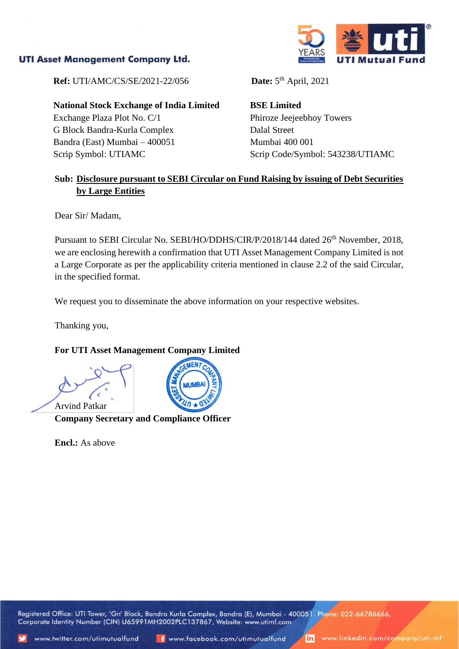## **UTI Asset Management Company Ltd.**



**Ref:** UTI/AMC/CS/SE/2021-22/056

**National Stock Exchange of India Limited** Exchange Plaza Plot No. C/1 G Block Bandra-Kurla Complex Bandra (East) Mumbai – 400051 Scrip Symbol: UTIAMC

Date:  $5<sup>th</sup>$  April, 2021

**BSE Limited** Phiroze Jeejeebhoy Towers Dalal Street Mumbai 400 001 Scrip Code/Symbol: 543238/UTIAMC

## **Sub: Disclosure pursuant to SEBI Circular on Fund Raising by issuing of Debt Securities by Large Entities**

Dear Sir/ Madam,

Pursuant to SEBI Circular No. SEBI/HO/DDHS/CIR/P/2018/144 dated 26<sup>th</sup> November, 2018, we are enclosing herewith a confirmation that UTI Asset Management Company Limited is not a Large Corporate as per the applicability criteria mentioned in clause 2.2 of the said Circular, in the specified format.

We request you to disseminate the above information on your respective websites.

Thanking you,

## **For UTI Asset Management Company Limited**

Arvind Patkar **Company Secretary and Compliance Officer**

**Encl.:** As above



Corporate Identity Number (CIN) U65991MH2002PLC137867, Website: www.utimf.com

Registered Office: UTI Tower, 'Gn' Block, Bandra Kurla Complex, Bandra (E), Mumbai - 400051. Phone: 022-66786666,

www.linkedin.com/company/uti-mf